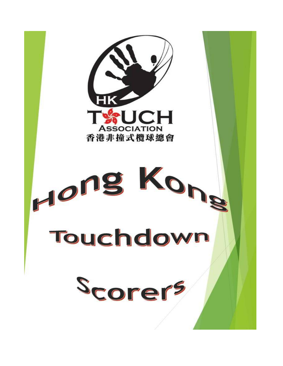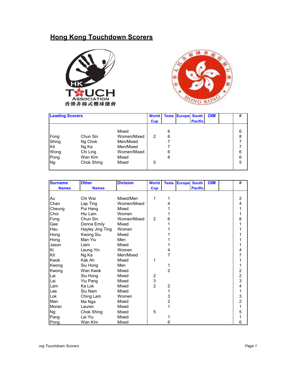## **Hong Kong Touchdown Scorers**





| <b>Leading Scorers</b> |            |             | <b>World</b> |   | <b>Tests Europe South</b> |                | <b>OIM</b> | # |
|------------------------|------------|-------------|--------------|---|---------------------------|----------------|------------|---|
|                        |            |             | <b>Cup</b>   |   |                           | <b>Pacific</b> |            |   |
|                        |            |             |              |   |                           |                |            |   |
|                        |            | Mixed       |              | 6 |                           |                |            | 6 |
| Fong                   | Chun Sin   | Women/Mixed | 2            | 6 |                           |                |            | 8 |
| Shing                  | Ng Chok    | Men/Mixed   |              |   |                           |                |            |   |
| <b>Kit</b>             | Ng Ka      | Men/Mixed   |              |   |                           |                |            |   |
| Wong                   | Chi Ling   | Women/Mixed |              | 6 |                           |                |            | 6 |
| Pong                   | Wan Kim    | Mixed       |              | 6 |                           |                |            | 6 |
| <b>Ng</b>              | Chok Shing | Mixed       | 5            |   |                           |                |            | 5 |
|                        |            |             |              |   |                           |                |            |   |

| <b>Surname</b> | <b>Other</b>     | <b>Division</b> | <b>World</b>     | <b>Tests</b>   | <b>Europe</b> | <b>South</b>   | <b>OIM</b> | #                       |
|----------------|------------------|-----------------|------------------|----------------|---------------|----------------|------------|-------------------------|
| <b>Names</b>   | <b>Names</b>     |                 | <b>Cup</b>       |                |               | <b>Pacific</b> |            |                         |
|                |                  |                 |                  |                |               |                |            |                         |
| Au             | Chi Wai          | Mixed/Men       | 1                | 1              |               |                |            | $\overline{c}$          |
| Chan           | Lap Ting         | Women/Mixed     |                  | 4              |               |                |            | $\overline{\mathbf{4}}$ |
| Cheung         | Pui Hang         | Mixed           |                  |                |               |                |            | 1                       |
| Choi           | Hiu Lam          | Women           |                  |                |               |                |            | 1                       |
| Fong           | Chun Sin         | Women/Mixed     | $\overline{2}$   | 6              |               |                |            | 8                       |
| Gee            | Donna Emily      | Mixed           |                  |                |               |                |            | $\overline{1}$          |
| Hau            | Hayley Jing Ting | Women           |                  |                |               |                |            | 1                       |
| Hong           | Kwong Siu        | Mixed           |                  |                |               |                |            | 1                       |
| Hong           | Man Yiu          | Men             |                  |                |               |                |            | 1                       |
| Jason          | Liem             | Mixed           |                  |                |               |                |            | 1                       |
| Ki             | Leung Yin        | Women           |                  | 4              |               |                |            | 4                       |
| Kit            | Ng Ka            | Men/Mixed       |                  | 7              |               |                |            | $\overline{7}$          |
| Kwok           | Kak Ah           | Mixed           | 1                |                |               |                |            | $\mathbf{1}$            |
| Kwong          | Siu Hong         | Men             |                  | 1              |               |                |            | 1                       |
| Kwong          | Wan Kwok         | Mixed           |                  | $\overline{2}$ |               |                |            | $\frac{2}{2}$           |
| Lai            | Siu Hong         | Mixed           | $\boldsymbol{2}$ |                |               |                |            |                         |
| Lai            | Yiu Pang         | Mixed           | 3                |                |               |                |            | 3                       |
| Lam            | Ka Lok           | Mixed           | $\overline{2}$   | $\overline{2}$ |               |                |            | $\overline{\mathbf{4}}$ |
| Lee            | Siu Nam          | Mixed           |                  | 1              |               |                |            | 1                       |
| Lok            | Ching Lam        | Women           |                  | 3              |               |                |            | $\frac{3}{2}$           |
| Man            | Ma Nga           | Mixed           |                  | $\overline{2}$ |               |                |            |                         |
| Moran          | Lauren           | Mixed           |                  | 1              |               |                |            | $\overline{1}$          |
| <b>Ng</b>      | Chok Shing       | Mixed           | 5                |                |               |                |            | 5                       |
| Pang           | Lai Yiu          | Mixed           |                  |                |               |                |            | 1                       |
| Pong           | Wan Kim          | Mixed           |                  | 6              |               |                |            | 6                       |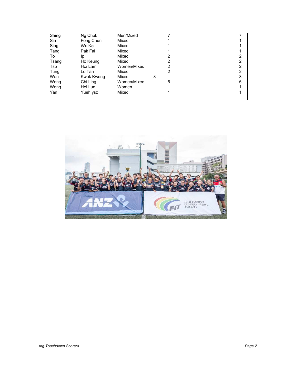| Shing | Ng Chok    | Men/Mixed   |   |   |
|-------|------------|-------------|---|---|
| Sin   | Fong Chun  | Mixed       |   |   |
| Sing  | Wu Ka      | Mixed       |   |   |
| Tang  | Pak Fai    | Mixed       |   |   |
| To    | Ip         | Mixed       |   | 2 |
| Tsang | Ho Keung   | Mixed       | 2 | 2 |
| Tso   | Hoi Lam    | Women/Mixed | 2 | 2 |
| Tung  | Lo Tan     | Mixed       | 2 | 2 |
| Wan   | Kwok Kwong | Mixed       | 3 | 3 |
| Wong  | Chi Ling   | Women/Mixed | 6 | 6 |
| Wong  | Hoi Lun    | Women       |   |   |
| Yan   | Yueh ysz   | Mixed       |   |   |
|       |            |             |   |   |

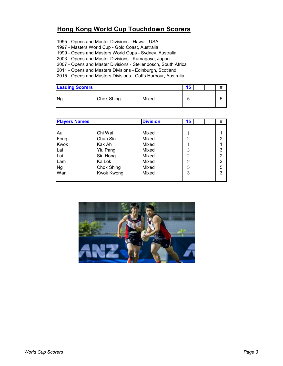## **Hong Kong World Cup Touchdown Scorers**

- 1995 Opens and Master Divisions Hawaii, USA
- 1997 Masters World Cup Gold Coast, Australia
- 1999 Opens and Masters World Cups Sydney, Australia
- 2003 Opens and Master Divisions Kumagaya, Japan
- 2007 Opens and Master Divisions Stellenbosch, South Africa
- 2011 Opens and Masters Divisions Edinburgh, Scotland
- 2015 Opens and Masters Divisions Coffs Harbour, Australia

| <b>Leading Scorers</b> |            |       | 5 |  | #      |
|------------------------|------------|-------|---|--|--------|
| Ng                     | Chok Shing | Mixed |   |  | ∽<br>ີ |

| <b>Players Names</b> |                   | <b>Division</b> | 15 | #              |  |
|----------------------|-------------------|-----------------|----|----------------|--|
|                      |                   |                 |    |                |  |
| Au                   | Chi Wai           | Mixed           |    |                |  |
| Fong                 | Chun Sin          | Mixed           | 2  | 2              |  |
| <b>Kwok</b>          | Kak Ah            | Mixed           |    |                |  |
| Lai                  | Yiu Pang          | Mixed           | 3  | 3              |  |
| Lai                  | Siu Hong          | Mixed           | 2  | $\overline{2}$ |  |
| Lam                  | Ka Lok            | Mixed           | 2  | $\overline{2}$ |  |
| <b>Ng</b>            | Chok Shing        | Mixed           | 5  | 5              |  |
| Wan                  | <b>Kwok Kwong</b> | Mixed           | 3  | 3              |  |
|                      |                   |                 |    |                |  |